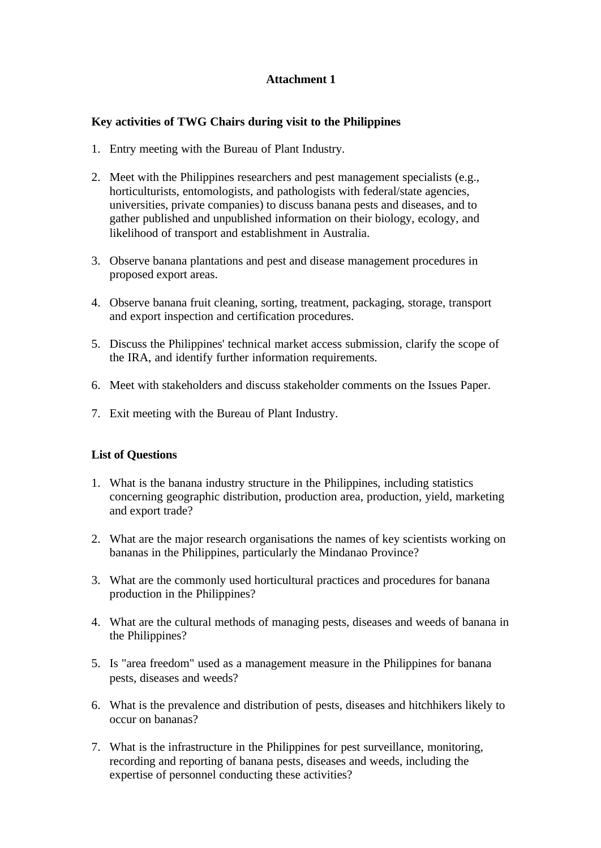## **Attachment 1**

## **Key activities of TWG Chairs during visit to the Philippines**

- 1. Entry meeting with the Bureau of Plant Industry.
- 2. Meet with the Philippines researchers and pest management specialists (e.g., horticulturists, entomologists, and pathologists with federal/state agencies, universities, private companies) to discuss banana pests and diseases, and to gather published and unpublished information on their biology, ecology, and likelihood of transport and establishment in Australia.
- 3. Observe banana plantations and pest and disease management procedures in proposed export areas.
- 4. Observe banana fruit cleaning, sorting, treatment, packaging, storage, transport and export inspection and certification procedures.
- 5. Discuss the Philippines' technical market access submission, clarify the scope of the IRA, and identify further information requirements.
- 6. Meet with stakeholders and discuss stakeholder comments on the Issues Paper.
- 7. Exit meeting with the Bureau of Plant Industry.

## **List of Questions**

- 1. What is the banana industry structure in the Philippines, including statistics concerning geographic distribution, production area, production, yield, marketing and export trade?
- 2. What are the major research organisations the names of key scientists working on bananas in the Philippines, particularly the Mindanao Province?
- 3. What are the commonly used horticultural practices and procedures for banana production in the Philippines?
- 4. What are the cultural methods of managing pests, diseases and weeds of banana in the Philippines?
- 5. Is "area freedom" used as a management measure in the Philippines for banana pests, diseases and weeds?
- 6. What is the prevalence and distribution of pests, diseases and hitchhikers likely to occur on bananas?
- 7. What is the infrastructure in the Philippines for pest surveillance, monitoring, recording and reporting of banana pests, diseases and weeds, including the expertise of personnel conducting these activities?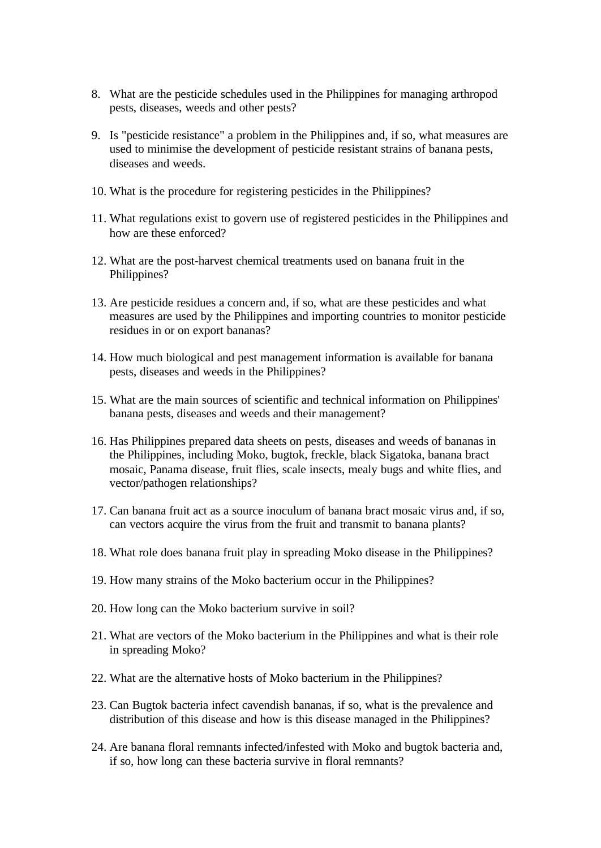- 8. What are the pesticide schedules used in the Philippines for managing arthropod pests, diseases, weeds and other pests?
- 9. Is "pesticide resistance" a problem in the Philippines and, if so, what measures are used to minimise the development of pesticide resistant strains of banana pests, diseases and weeds.
- 10. What is the procedure for registering pesticides in the Philippines?
- 11. What regulations exist to govern use of registered pesticides in the Philippines and how are these enforced?
- 12. What are the post-harvest chemical treatments used on banana fruit in the Philippines?
- 13. Are pesticide residues a concern and, if so, what are these pesticides and what measures are used by the Philippines and importing countries to monitor pesticide residues in or on export bananas?
- 14. How much biological and pest management information is available for banana pests, diseases and weeds in the Philippines?
- 15. What are the main sources of scientific and technical information on Philippines' banana pests, diseases and weeds and their management?
- 16. Has Philippines prepared data sheets on pests, diseases and weeds of bananas in the Philippines, including Moko, bugtok, freckle, black Sigatoka, banana bract mosaic, Panama disease, fruit flies, scale insects, mealy bugs and white flies, and vector/pathogen relationships?
- 17. Can banana fruit act as a source inoculum of banana bract mosaic virus and, if so, can vectors acquire the virus from the fruit and transmit to banana plants?
- 18. What role does banana fruit play in spreading Moko disease in the Philippines?
- 19. How many strains of the Moko bacterium occur in the Philippines?
- 20. How long can the Moko bacterium survive in soil?
- 21. What are vectors of the Moko bacterium in the Philippines and what is their role in spreading Moko?
- 22. What are the alternative hosts of Moko bacterium in the Philippines?
- 23. Can Bugtok bacteria infect cavendish bananas, if so, what is the prevalence and distribution of this disease and how is this disease managed in the Philippines?
- 24. Are banana floral remnants infected/infested with Moko and bugtok bacteria and, if so, how long can these bacteria survive in floral remnants?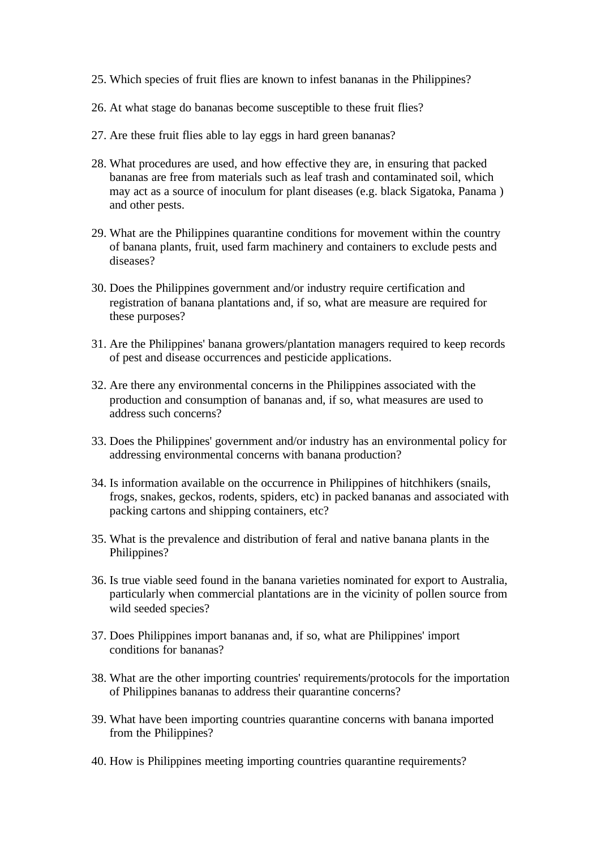- 25. Which species of fruit flies are known to infest bananas in the Philippines?
- 26. At what stage do bananas become susceptible to these fruit flies?
- 27. Are these fruit flies able to lay eggs in hard green bananas?
- 28. What procedures are used, and how effective they are, in ensuring that packed bananas are free from materials such as leaf trash and contaminated soil, which may act as a source of inoculum for plant diseases (e.g. black Sigatoka, Panama ) and other pests.
- 29. What are the Philippines quarantine conditions for movement within the country of banana plants, fruit, used farm machinery and containers to exclude pests and diseases?
- 30. Does the Philippines government and/or industry require certification and registration of banana plantations and, if so, what are measure are required for these purposes?
- 31. Are the Philippines' banana growers/plantation managers required to keep records of pest and disease occurrences and pesticide applications.
- 32. Are there any environmental concerns in the Philippines associated with the production and consumption of bananas and, if so, what measures are used to address such concerns?
- 33. Does the Philippines' government and/or industry has an environmental policy for addressing environmental concerns with banana production?
- 34. Is information available on the occurrence in Philippines of hitchhikers (snails, frogs, snakes, geckos, rodents, spiders, etc) in packed bananas and associated with packing cartons and shipping containers, etc?
- 35. What is the prevalence and distribution of feral and native banana plants in the Philippines?
- 36. Is true viable seed found in the banana varieties nominated for export to Australia, particularly when commercial plantations are in the vicinity of pollen source from wild seeded species?
- 37. Does Philippines import bananas and, if so, what are Philippines' import conditions for bananas?
- 38. What are the other importing countries' requirements/protocols for the importation of Philippines bananas to address their quarantine concerns?
- 39. What have been importing countries quarantine concerns with banana imported from the Philippines?
- 40. How is Philippines meeting importing countries quarantine requirements?